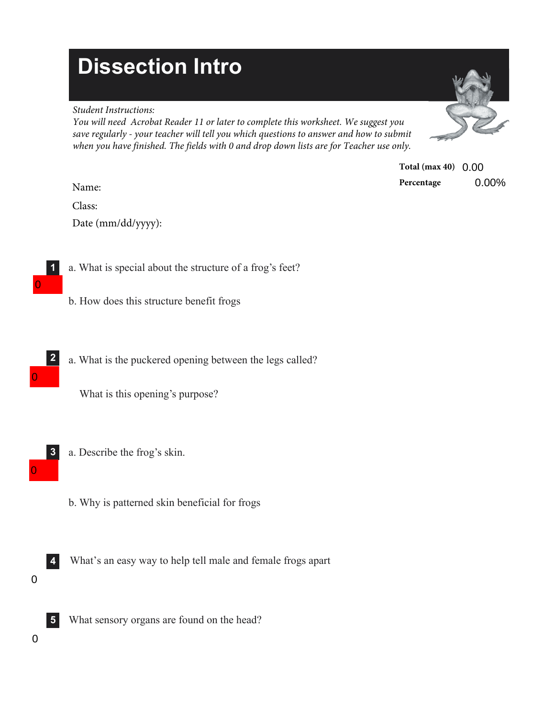## **Dissection Intro**

## *Student Instructions:*

*You will need Acrobat Reader 11 or later to complete this worksheet. We suggest you save regularly - your teacher will tell you which questions to answer and how to submit when you have finished. The fields with 0 and drop down lists are for Teacher use only.* 



| Total (max 40) $0.00$ |       |
|-----------------------|-------|
| Percentage            | 0.00% |

Name:

Class: Date (mm/dd/yyyy):

- **1** a. What is special about the structure of a frog's feet?
	- b. How does this structure benefit frogs
- a. What is the puckered opening between the legs called? **2**

What is this opening's purpose?

- a. Describe the frog's skin. **3** 0
	- b. Why is patterned skin beneficial for frogs
	- What's an easy way to help tell male and female frogs apart **4**
- 0

0

0

What sensory organs are found on the head? **5**

0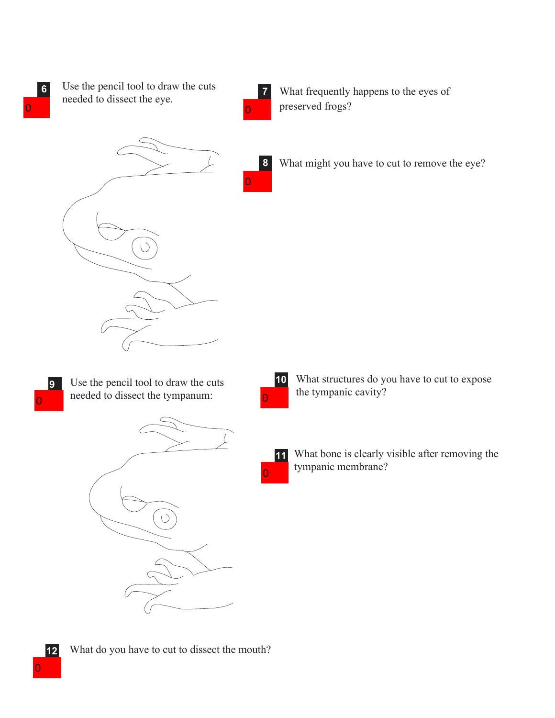**6** Use the pencil tool to draw the cuts needed to dissect the eye.  $\overline{0}$  0



**8**

0

What frequently happens to the eyes of preserved frogs?



What might you have to cut to remove the eye?



Use the pencil tool to draw the cuts needed to dissect the tympanum:





0

What structures do you have to cut to expose the tympanic cavity?

**11** What bone is clearly visible after removing the tympanic membrane?

**12** What do you have to cut to dissect the mouth?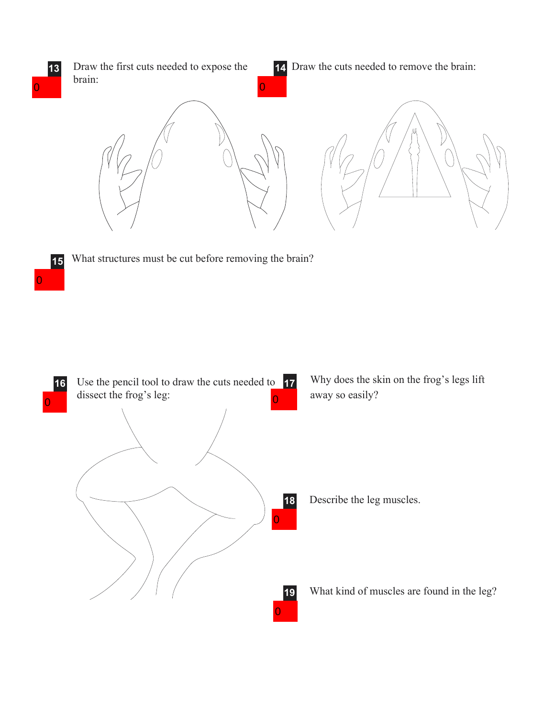

**15** What structures must be cut before removing the brain?

0